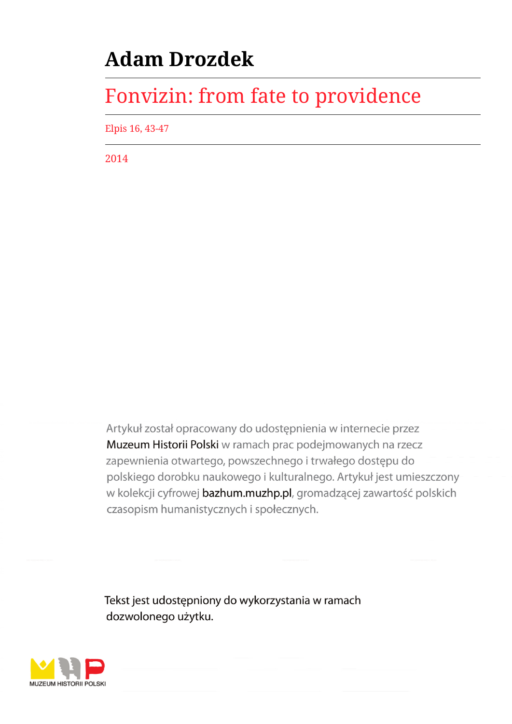# **Adam Drozdek**

# Fonvizin: from fate to providence

Elpis 16, 43-47

2014

Artykuł został opracowany do udostępnienia w internecie przez Muzeum Historii Polski w ramach prac podejmowanych na rzecz zapewnienia otwartego, powszechnego i trwałego dostępu do polskiego dorobku naukowego i kulturalnego. Artykuł jest umieszczony w kolekcji cyfrowej bazhum.muzhp.pl, gromadzącej zawartość polskich czasopism humanistycznych i społecznych.

Tekst jest udostępniony do wykorzystania w ramach dozwolonego użytku.

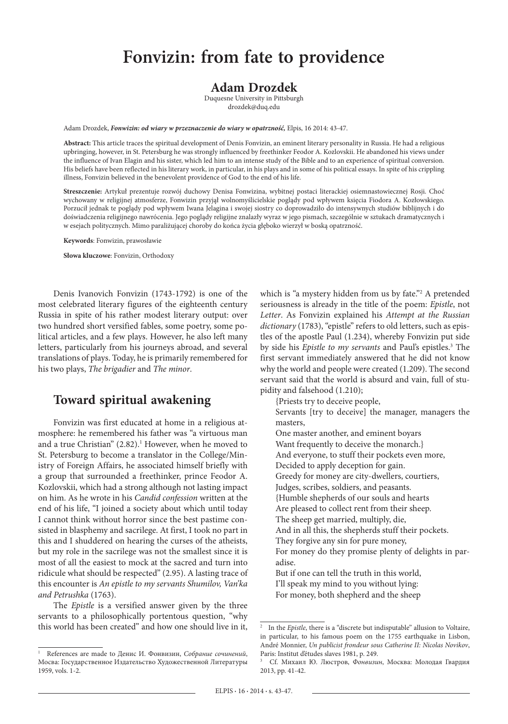### **Fonvizin: from fate to providence**

#### **Adam Drozdek**

Duquesne University in Pittsburgh drozdek@duq.edu

Adam Drozdek, *Fonwizin: od wiary w przeznaczenie do wiary w opatrzność,* Elpis, 16 2014: 43-47.

**Abstract:** This article traces the spiritual development of Denis Fonvizin, an eminent literary personality in Russia. He had a religious upbringing, however, in St. Petersburg he was strongly influenced by freethinker Feodor A. Kozlovskii. He abandoned his views under the influence of Ivan Elagin and his sister, which led him to an intense study of the Bible and to an experience of spiritual conversion. His beliefs have been reflected in his literary work, in particular, in his plays and in some of his political essays. In spite of his crippling illness, Fonvizin believed in the benevolent providence of God to the end of his life.

**Streszczenie:** Artykuł prezentuje rozwój duchowy Denisa Fonwizina, wybitnej postaci literackiej osiemnastowiecznej Rosji. Choć wychowany w religijnej atmosferze, Fonwizin przyjął wolnomyślicielskie poglądy pod wpływem księcia Fiodora A. Kozłowskiego. Porzucił jednak te poglądy pod wpływem Iwana Jelagina i swojej siostry co doprowadziło do intensywnych studiów biblijnych i do doświadczenia religijnego nawrócenia. Jego poglądy religijne znalazły wyraz w jego pismach, szczególnie w sztukach dramatycznych i w esejach politycznych. Mimo paraliżującej choroby do końca życia głęboko wierzył w boską opatrzność.

**Keywords**: Fonwizin, prawosławie

**Słowa kluczowe**: Fonvizin, Orthodoxy

Denis Ivanovich Fonvizin (1743-1792) is one of the most celebrated literary figures of the eighteenth century Russia in spite of his rather modest literary output: over two hundred short versified fables, some poetry, some political articles, and a few plays. However, he also left many letters, particularly from his journeys abroad, and several translations of plays. Today, he is primarily remembered for his two plays, *The brigadier* and *The minor*.

#### **Toward spiritual awakening**

Fonvizin was first educated at home in a religious atmosphere: he remembered his father was "a virtuous man and a true Christian"  $(2.82).<sup>1</sup>$  However, when he moved to St. Petersburg to become a translator in the College/Ministry of Foreign Affairs, he associated himself briefly with a group that surrounded a freethinker, prince Feodor A. Kozlovskii, which had a strong although not lasting impact on him. As he wrote in his *Candid confession* written at the end of his life, "I joined a society about which until today I cannot think without horror since the best pastime consisted in blasphemy and sacrilege. At first, I took no part in this and I shuddered on hearing the curses of the atheists, but my role in the sacrilege was not the smallest since it is most of all the easiest to mock at the sacred and turn into ridicule what should be respected" (2.95). A lasting trace of this encounter is *An epistle to my servants Shumilov, Van'ka and Petrushka* (1763).

The *Epistle* is a versified answer given by the three servants to a philosophically portentous question, "why this world has been created" and how one should live in it,

which is "a mystery hidden from us by fate."2 A pretended seriousness is already in the title of the poem: *Epistle*, not *Letter*. As Fonvizin explained his *Attempt at the Russian dictionary* (1783), "epistle" refers to old letters, such as epistles of the apostle Paul (1.234), whereby Fonvizin put side by side his *Epistle to my servants* and Paul's epistles.3 The first servant immediately answered that he did not know why the world and people were created (1.209). The second servant said that the world is absurd and vain, full of stupidity and falsehood (1.210);

{Priests try to deceive people,

Servants [try to deceive] the manager, managers the masters,

- One master another, and eminent boyars Want frequently to deceive the monarch.} And everyone, to stuff their pockets even more, Decided to apply deception for gain. Greedy for money are city-dwellers, courtiers, Judges, scribes, soldiers, and peasants. {Humble shepherds of our souls and hearts Are pleased to collect rent from their sheep. The sheep get married, multiply, die, And in all this, the shepherds stuff their pockets. They forgive any sin for pure money, For money do they promise plenty of delights in paradise. But if one can tell the truth in this world, I'll speak my mind to you without lying:
- For money, both shepherd and the sheep

<sup>1</sup> References are made to Денис И. Фонвизин, *Собрание сочинений*, Мосва: Государственное Издательство Художественной Литературы 1959, vols. 1-2.

<sup>&</sup>lt;sup>2</sup> In the *Epistle*, there is a "discrete but indisputable" allusion to Voltaire, in particular, to his famous poem on the 1755 earthquake in Lisbon, André Monnier, *Un publicist frondeur sous Catherine II: Nicolas Novikov*, Paris: Institut d'études slaves 1981, p. 249.

<sup>3</sup> Cf. Михаил Ю. Люстров, *Фонвизин*, Москва: Молодая Гвардия 2013, pp. 41-42.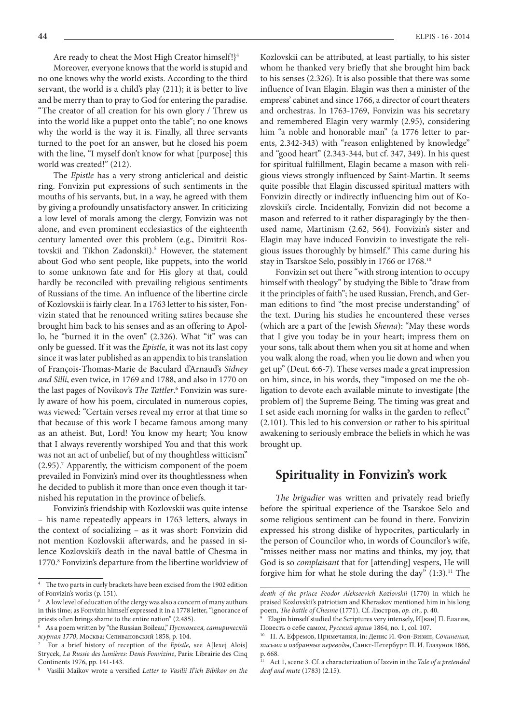Are ready to cheat the Most High Creator himself!}<sup>4</sup>

Moreover, everyone knows that the world is stupid and no one knows why the world exists. According to the third servant, the world is a child's play (211); it is better to live and be merry than to pray to God for entering the paradise. "The creator of all creation for his own glory / Threw us into the world like a puppet onto the table"; no one knows why the world is the way it is. Finally, all three servants turned to the poet for an answer, but he closed his poem with the line, "I myself don't know for what [purpose] this world was created!" (212).

The *Epistle* has a very strong anticlerical and deistic ring. Fonvizin put expressions of such sentiments in the mouths of his servants, but, in a way, he agreed with them by giving a profoundly unsatisfactory answer. In criticizing a low level of morals among the clergy, Fonvizin was not alone, and even prominent ecclesiastics of the eighteenth century lamented over this problem (e.g., Dimitrii Rostovskii and Tikhon Zadonskii).<sup>5</sup> However, the statement about God who sent people, like puppets, into the world to some unknown fate and for His glory at that, could hardly be reconciled with prevailing religious sentiments of Russians of the time. An influence of the libertine circle of Kozlovskii is fairly clear. In a 1763 letter to his sister, Fonvizin stated that he renounced writing satires because she brought him back to his senses and as an offering to Apollo, he "burned it in the oven" (2.326). What "it" was can only be guessed. If it was the *Epistle*, it was not its last copy since it was later published as an appendix to his translation of François-Thomas-Marie de Baculard d'Arnaud's *Sidney and Silli*, even twice, in 1769 and 1788, and also in 1770 on the last pages of Novikov's The Tattler.<sup>6</sup> Fonvizin was surely aware of how his poem, circulated in numerous copies, was viewed: "Certain verses reveal my error at that time so that because of this work I became famous among many as an atheist. But, Lord! You know my heart; You know that I always reverently worshiped You and that this work was not an act of unbelief, but of my thoughtless witticism" (2.95).7 Apparently, the witticism component of the poem prevailed in Fonvizin's mind over its thoughtlessness when he decided to publish it more than once even though it tarnished his reputation in the province of beliefs.

Fonvizin's friendship with Kozlovskii was quite intense – his name repeatedly appears in 1763 letters, always in the context of socializing – as it was short: Fonvizin did not mention Kozlovskii afterwards, and he passed in silence Kozlovskii's death in the naval battle of Chesma in 1770.<sup>8</sup> Fonvizin's departure from the libertine worldview of

Kozlovskii can be attributed, at least partially, to his sister whom he thanked very briefly that she brought him back to his senses (2.326). It is also possible that there was some influence of Ivan Elagin. Elagin was then a minister of the empress' cabinet and since 1766, a director of court theaters and orchestras. In 1763-1769, Fonvizin was his secretary and remembered Elagin very warmly (2.95), considering him "a noble and honorable man" (a 1776 letter to parents, 2.342-343) with "reason enlightened by knowledge" and "good heart" (2.343-344, but cf. 347, 349). In his quest for spiritual fulfillment, Elagin became a mason with religious views strongly influenced by Saint-Martin. It seems quite possible that Elagin discussed spiritual matters with Fonvizin directly or indirectly influencing him out of Kozlovskii's circle. Incidentally, Fonvizin did not become a mason and referred to it rather disparagingly by the thenused name, Martinism (2.62, 564). Fonvizin's sister and Elagin may have induced Fonvizin to investigate the religious issues thoroughly by himself.9 This came during his stay in Tsarskoe Selo, possibly in 1766 or 1768.10

Fonvizin set out there "with strong intention to occupy himself with theology" by studying the Bible to "draw from it the principles of faith"; he used Russian, French, and German editions to find "the most precise understanding" of the text. During his studies he encountered these verses (which are a part of the Jewish *Shema*): "May these words that I give you today be in your heart; impress them on your sons, talk about them when you sit at home and when you walk along the road, when you lie down and when you get up" (Deut. 6:6-7). These verses made a great impression on him, since, in his words, they "imposed on me the obligation to devote each available minute to investigate [the problem of] the Supreme Being. The timing was great and I set aside each morning for walks in the garden to reflect" (2.101). This led to his conversion or rather to his spiritual awakening to seriously embrace the beliefs in which he was brought up.

#### **Spirituality in Fonvizin's work**

*The brigadier* was written and privately read briefly before the spiritual experience of the Tsarskoe Selo and some religious sentiment can be found in there. Fonvizin expressed his strong dislike of hypocrites, particularly in the person of Councilor who, in words of Councilor's wife, "misses neither mass nor matins and thinks, my joy, that God is so *complaisant* that for [attending] vespers, He will forgive him for what he stole during the day"  $(1:3)$ .<sup>11</sup> The

The two parts in curly brackets have been excised from the 1902 edition of Fonvizin's works (p. 151).

<sup>5</sup> A low level of education of the clergy was also a concern of many authors in this time; as Fonvizin himself expressed it in a 1778 letter, "ignorance of priests often brings shame to the entire nation" (2.485).

<sup>6</sup> As a poem written by "the Russian Boileau," *Пустомеля, сатирическій журнал 1770*, Москва: Селивановский 1858, p. 104.

<sup>7</sup> For a brief history of reception of the *Epistle*, see A[lexej Alois] Strycek, *La Russie des lumières: Denis Fonvizine*, Paris: Librairie des Cinq Continents 1976, pp. 141-143.

<sup>8</sup> Vasilii Maikov wrote a versified *Letter to Vasilii Il'ich Bibikov on the* 

*death of the prince Feodor Alekseevich Kozlovskii* (1770) in which he praised Kozlovskii's patriotism and Kheraskov mentioned him in his long poem, *The battle of Chesme* (1771). Cf. Люстров, *op. cit.*, p. 40.

Elagin himself studied the Scriptures very intensely,  $M$ [ван] П. Елагин, Повесть о себе самом, *Русский архив* 1864, no. 1, col. 107.

<sup>10</sup> П. А. Ефремов, Примечания, in: Денис И. Фон-Визин, *Сочинения, письма и избранные переводы*, Санкт-Петербург: П. И. Глазунов 1866, p. 668.<br> $\frac{11}{11}$  Act

Act 1, scene 3. Cf. a characterization of Iazvin in the *Tale of a pretended deaf and mute* (1783) (2.15).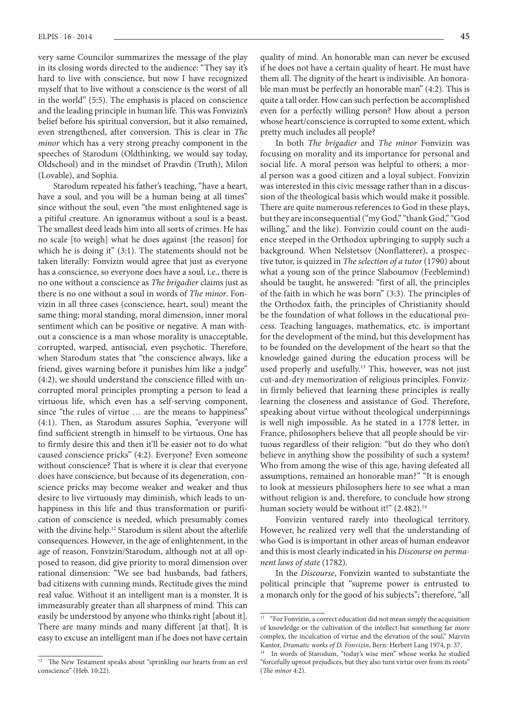very same Councilor summarizes the message of the play in its closing words directed to the audience: "They say it's hard to live with conscience, but now I have recognized myself that to live without a conscience is the worst of all in the world" (5:5). The emphasis is placed on conscience and the leading principle in human life. This was Fonvizin's belief before his spiritual conversion, but it also remained, even strengthened, after conversion. This is clear in *The minor* which has a very strong preachy component in the speeches of Starodum (Oldthinking, we would say today, Oldschool) and in the mindset of Pravdin (Truth), Milon (Lovable), and Sophia.

Starodum repeated his father's teaching, "have a heart, have a soul, and you will be a human being at all times" since without the soul, even "the most enlightened sage is a pitiful creature. An ignoramus without a soul is a beast. The smallest deed leads him into all sorts of crimes. He has no scale [to weigh] what he does against [the reason] for which he is doing it" (3:1). The statements should not be taken literally: Fonvizin would agree that just as everyone has a conscience, so everyone does have a soul, i.e., there is no one without a conscience as *The brigadier* claims just as there is no one without a soul in words of *The minor*. Fonvizin in all three cases (conscience, heart, soul) meant the same thing: moral standing, moral dimension, inner moral sentiment which can be positive or negative. A man without a conscience is a man whose morality is unacceptable, corrupted, warped, antisocial, even psychotic. Therefore, when Starodum states that "the conscience always, like a friend, gives warning before it punishes him like a judge" (4:2), we should understand the conscience filled with uncorrupted moral principles prompting a person to lead a virtuous life, which even has a self-serving component, since "the rules of virtue … are the means to happiness" (4:1). Then, as Starodum assures Sophia, "everyone will find sufficient strength in himself to be virtuous. One has to firmly desire this and then it'll be easier not to do what caused conscience pricks" (4:2). Everyone? Even someone without conscience? That is where it is clear that everyone does have conscience, but because of its degeneration, conscience pricks may become weaker and weaker and thus desire to live virtuously may diminish, which leads to unhappiness in this life and thus transformation or purification of conscience is needed, which presumably comes with the divine help.<sup>12</sup> Starodum is silent about the afterlife consequences. However, in the age of enlightenment, in the age of reason, Fonvizin/Starodum, although not at all opposed to reason, did give priority to moral dimension over rational dimension: "We see bad husbands, bad fathers, bad citizens with cunning minds. Rectitude gives the mind real value. Without it an intelligent man is a monster. It is immeasurably greater than all sharpness of mind. This can easily be understood by anyone who thinks right [about it]. There are many minds and many different [at that]. It is easy to excuse an intelligent man if he does not have certain

quality of mind. An honorable man can never be excused if he does not have a certain quality of heart. He must have them all. The dignity of the heart is indivisible. An honorable man must be perfectly an honorable man" (4:2). This is quite a tall order. How can such perfection be accomplished even for a perfectly willing person? How about a person whose heart/conscience is corrupted to some extent, which pretty much includes all people?

In both *The brigadier* and *The minor* Fonvizin was focusing on morality and its importance for personal and social life. A moral person was helpful to others; a moral person was a good citizen and a loyal subject. Fonvizin was interested in this civic message rather than in a discussion of the theological basis which would make it possible. There are quite numerous references to God in these plays, but they are inconsequential ("my God," "thank God," "God willing," and the like). Fonvizin could count on the audience steeped in the Orthodox upbringing to supply such a background. When Nelstetsov (Nonflatterer), a prospective tutor, is quizzed in *The selection of a tutor* (1790) about what a young son of the prince Slaboumov (Feeblemind) should be taught, he answered: "first of all, the principles of the faith in which he was born" (3:3). The principles of the Orthodox faith, the principles of Christianity should be the foundation of what follows in the educational process. Teaching languages, mathematics, etc. is important for the development of the mind, but this development has to be founded on the development of the heart so that the knowledge gained during the education process will be used properly and usefully.<sup>13</sup> This, however, was not just cut-and-dry memorization of religious principles. Fonvizin firmly believed that learning these principles is really learning the closeness and assistance of God. Therefore, speaking about virtue without theological underpinnings is well nigh impossible. As he stated in a 1778 letter, in France, philosophers believe that all people should be virtuous regardless of their religion: "but do they who don't believe in anything show the possibility of such a system? Who from among the wise of this age, having defeated all assumptions, remained an honorable man?" "It is enough to look at messieurs philosophers here to see what a man without religion is and, therefore, to conclude how strong human society would be without it!" (2.482).<sup>14</sup>

Fonvizin ventured rarely into theological territory. However, he realized very well that the understanding of who God is is important in other areas of human endeavor and this is most clearly indicated in his *Discourse on permanent laws of state* (1782).

In the *Discourse*, Fonvizin wanted to substantiate the political principle that "supreme power is entrusted to a monarch only for the good of his subjects"; therefore, "all

The New Testament speaks about "sprinkling our hearts from an evil conscience" (Heb. 10:22).

<sup>&</sup>lt;sup>13</sup> "For Fonvizin, a correct education did not mean simply the acquisition of knowledge or the cultivation of the intellect but something far more complex, the inculcation of virtue and the elevation of the soul," Marvin Kantor, *Dramatic works of D. Fonvizin*, Bern: Herbert Lang 1974, p. 37.

In words of Starodum, "today's wise men" whose works he studied "forcefully uproot prejudices, but they also turn virtue over from its roots" (*The minor* 4:2).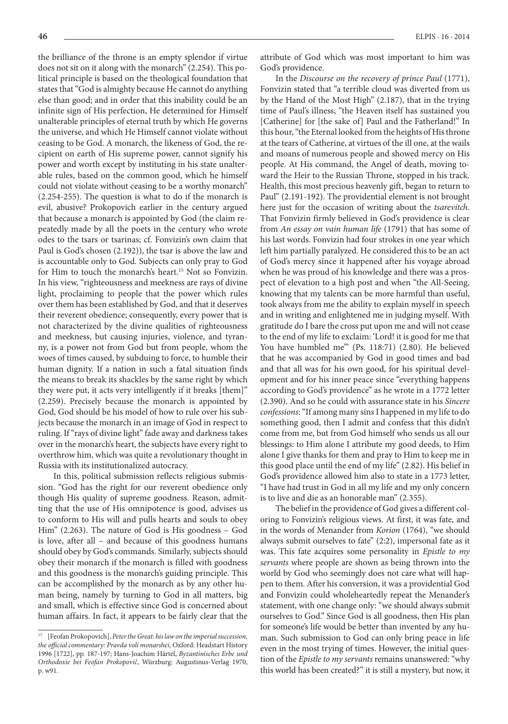the brilliance of the throne is an empty splendor if virtue does not sit on it along with the monarch" (2.254). This political principle is based on the theological foundation that states that "God is almighty because He cannot do anything else than good; and in order that this inability could be an infinite sign of His perfection, He determined for Himself unalterable principles of eternal truth by which He governs the universe, and which He Himself cannot violate without ceasing to be God. A monarch, the likeness of God, the recipient on earth of His supreme power, cannot signify his power and worth except by instituting in his state unalterable rules, based on the common good, which he himself could not violate without ceasing to be a worthy monarch" (2.254-255). The question is what to do if the monarch is evil, abusive? Prokopovich earlier in the century argued that because a monarch is appointed by God (the claim repeatedly made by all the poets in the century who wrote odes to the tsars or tsarinas; cf. Fonvizin's own claim that Paul is God's chosen (2.192)), the tsar is above the law and is accountable only to God. Subjects can only pray to God for Him to touch the monarch's heart.15 Not so Fonvizin. In his view, "righteousness and meekness are rays of divine light, proclaiming to people that the power which rules over them has been established by God, and that it deserves their reverent obedience; consequently, every power that is not characterized by the divine qualities of righteousness and meekness, but causing injuries, violence, and tyranny, is a power not from God but from people, whom the woes of times caused, by subduing to force, to humble their human dignity. If a nation in such a fatal situation finds the means to break its shackles by the same right by which they were put, it acts very intelligently if it breaks [them]" (2.259). Precisely because the monarch is appointed by God, God should be his model of how to rule over his subjects because the monarch in an image of God in respect to ruling. If "rays of divine light" fade away and darkness takes over in the monarch's heart, the subjects have every right to overthrow him, which was quite a revolutionary thought in Russia with its institutionalized autocracy.

In this, political submission reflects religious submission. "God has the right for our reverent obedience only though His quality of supreme goodness. Reason, admitting that the use of His omnipotence is good, advises us to conform to His will and pulls hearts and souls to obey Him" (2.263). The nature of God is His goodness – God is love, after all – and because of this goodness humans should obey by God's commands. Similarly, subjects should obey their monarch if the monarch is filled with goodness and this goodness is the monarch's guiding principle. This can be accomplished by the monarch as by any other human being, namely by turning to God in all matters, big and small, which is effective since God is concerned about human affairs. In fact, it appears to be fairly clear that the

attribute of God which was most important to him was God's providence.

In the *Discourse on the recovery of prince Paul* (1771), Fonvizin stated that "a terrible cloud was diverted from us by the Hand of the Most High" (2.187), that in the trying time of Paul's illness, "the Heaven itself has sustained you [Catherine] for [the sake of] Paul and the Fatherland!" In this hour, "the Eternal looked from the heights of His throne at the tears of Catherine, at virtues of the ill one, at the wails and moans of numerous people and showed mercy on His people. At His command, the Angel of death, moving toward the Heir to the Russian Throne, stopped in his track. Health, this most precious heavenly gift, began to return to Paul" (2.191-192). The providential element is not brought here just for the occasion of writing about the *tsarevitch*. That Fonvizin firmly believed in God's providence is clear from *An essay on vain human life* (1791) that has some of his last words. Fonvizin had four strokes in one year which left him partially paralyzed. He considered this to be an act of God's mercy since it happened after his voyage abroad when he was proud of his knowledge and there was a prospect of elevation to a high post and when "the All-Seeing, knowing that my talents can be more harmful than useful, took always from me the ability to explain myself in speech and in writing and enlightened me in judging myself. With gratitude do I bare the cross put upon me and will not cease to the end of my life to exclaim: 'Lord! it is good for me that You have humbled me'" (Ps. 118:71) (2.80). He believed that he was accompanied by God in good times and bad and that all was for his own good, for his spiritual development and for his inner peace since "everything happens according to God's providence" as he wrote in a 1772 letter (2.390). And so he could with assurance state in his *Sincere confessions*: "If among many sins I happened in my life to do something good, then I admit and confess that this didn't come from me, but from God himself who sends us all our blessings: to Him alone I attribute my good deeds, to Him alone I give thanks for them and pray to Him to keep me in this good place until the end of my life" (2.82). His belief in God's providence allowed him also to state in a 1773 letter, "I have had trust in God in all my life and my only concern is to live and die as an honorable man" (2.355).

The belief in the providence of God gives a different coloring to Fonvizin's religious views. At first, it was fate, and in the words of Menander from *Korion* (1764), "we should always submit ourselves to fate" (2:2), impersonal fate as it was. This fate acquires some personality in *Epistle to my servants* where people are shown as being thrown into the world by God who seemingly does not care what will happen to them. After his conversion, it was a providential God and Fonvizin could wholeheartedly repeat the Menander's statement, with one change only: "we should always submit ourselves to God." Since God is all goodness, then His plan for someone's life would be better than invented by any human. Such submission to God can only bring peace in life even in the most trying of times. However, the initial question of the *Epistle to my servants* remains unanswered: "why this world has been created?" it is still a mystery, but now, it

<sup>15</sup> [Feofan Prokopovich], *Peter the Great: his law on the imperial succession, the official commentary: Pravda voli monarshei*, Oxford: Headstart History 1996 [1722], pp. 187-197; Hans-Joachim Härtel, *Byzantinisches Erbe und Orthodoxie bei Feofan Prokopovič*, Würzburg: Augustinus-Verlag 1970, p. w91.